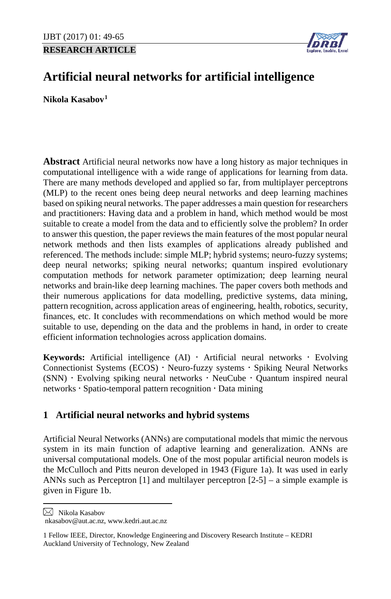**RESEARCH ARTICLE**



# **Artificial neural networks for artificial intelligence**

**Nikola Kasabov[1](#page-0-0)**

**Abstract** Artificial neural networks now have a long history as major techniques in computational intelligence with a wide range of applications for learning from data. There are many methods developed and applied so far, from multiplayer perceptrons (MLP) to the recent ones being deep neural networks and deep learning machines based on spiking neural networks. The paper addresses a main question for researchers and practitioners: Having data and a problem in hand, which method would be most suitable to create a model from the data and to efficiently solve the problem? In order to answer this question, the paper reviews the main features of the most popular neural network methods and then lists examples of applications already published and referenced. The methods include: simple MLP; hybrid systems; neuro-fuzzy systems; deep neural networks; spiking neural networks; quantum inspired evolutionary computation methods for network parameter optimization; deep learning neural networks and brain-like deep learning machines. The paper covers both methods and their numerous applications for data modelling, predictive systems, data mining, pattern recognition, across application areas of engineering, health, robotics, security, finances, etc. It concludes with recommendations on which method would be more suitable to use, depending on the data and the problems in hand, in order to create efficient information technologies across application domains.

**Keywords:** Artificial intelligence (AI)  $\cdot$  Artificial neural networks  $\cdot$  Evolving Connectionist Systems ( $ECOS$ )  $\cdot$  Neuro-fuzzy systems  $\cdot$  Spiking Neural Networks  $(SNN)$  · Evolving spiking neural networks · NeuCube · Quantum inspired neural networks · Spatio-temporal pattern recognition · Data mining

# **1 Artificial neural networks and hybrid systems**

Artificial Neural Networks (ANNs) are computational models that mimic the nervous system in its main function of adaptive learning and generalization. ANNs are universal computational models. One of the most popular artificial neuron models is the McCulloch and Pitts neuron developed in 1943 (Figure 1a). It was used in early ANNs such as Perceptron [1] and multilayer perceptron [2-5] – a simple example is given in Figure 1b.

<span id="page-0-0"></span>Nikola Kasabov

l

nkasabov@aut.ac.nz, www.kedri.aut.ac.nz

<sup>1</sup> Fellow IEEE, Director, Knowledge Engineering and Discovery Research Institute – KEDRI Auckland University of Technology, New Zealand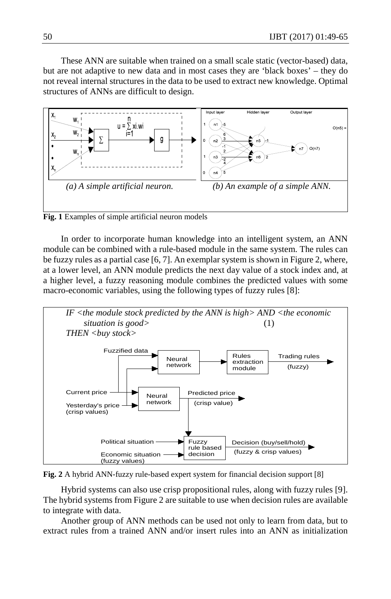These ANN are suitable when trained on a small scale static (vector-based) data, but are not adaptive to new data and in most cases they are 'black boxes' – they do not reveal internal structures in the data to be used to extract new knowledge. Optimal structures of ANNs are difficult to design.



**Fig. 1** Examples of simple artificial neuron models

In order to incorporate human knowledge into an intelligent system, an ANN module can be combined with a rule-based module in the same system. The rules can be fuzzy rules as a partial case [6, 7]. An exemplar system is shown in Figure 2, where, at a lower level, an ANN module predicts the next day value of a stock index and, at a higher level, a fuzzy reasoning module combines the predicted values with some macro-economic variables, using the following types of fuzzy rules [8]:



**Fig. 2** A hybrid ANN-fuzzy rule-based expert system for financial decision support [8]

Hybrid systems can also use crisp propositional rules, along with fuzzy rules [9]. The hybrid systems from Figure 2 are suitable to use when decision rules are available to integrate with data.

Another group of ANN methods can be used not only to learn from data, but to extract rules from a trained ANN and/or insert rules into an ANN as initialization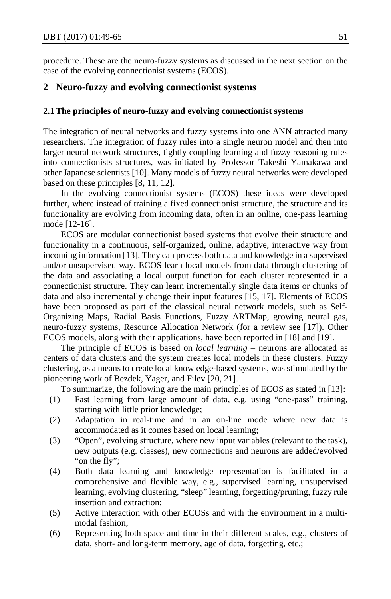procedure. These are the neuro-fuzzy systems as discussed in the next section on the case of the evolving connectionist systems (ECOS).

#### **2 Neuro-fuzzy and evolving connectionist systems**

#### **2.1The principles of neuro-fuzzy and evolving connectionist systems**

The integration of neural networks and fuzzy systems into one ANN attracted many researchers. The integration of fuzzy rules into a single neuron model and then into larger neural network structures, tightly coupling learning and fuzzy reasoning rules into connectionists structures, was initiated by Professor Takeshi Yamakawa and other Japanese scientists [10]. Many models of fuzzy neural networks were developed based on these principles [8, 11, 12].

In the evolving connectionist systems (ECOS) these ideas were developed further, where instead of training a fixed connectionist structure, the structure and its functionality are evolving from incoming data, often in an online, one-pass learning mode [12-16].

ECOS are modular connectionist based systems that evolve their structure and functionality in a continuous, self-organized, online, adaptive, interactive way from incoming information [13]. They can process both data and knowledge in a supervised and/or unsupervised way. ECOS learn local models from data through clustering of the data and associating a local output function for each cluster represented in a connectionist structure. They can learn incrementally single data items or chunks of data and also incrementally change their input features [15, 17]. Elements of ECOS have been proposed as part of the classical neural network models, such as Self-Organizing Maps, Radial Basis Functions, Fuzzy ARTMap, growing neural gas, neuro-fuzzy systems, Resource Allocation Network (for a review see [17]). Other ECOS models, along with their applications, have been reported in [18] and [19].

The principle of ECOS is based on *local learning* – neurons are allocated as centers of data clusters and the system creates local models in these clusters. Fuzzy clustering, as a means to create local knowledge-based systems, was stimulated by the pioneering work of Bezdek, Yager, and Filev [20, 21].

To summarize, the following are the main principles of ECOS as stated in [13]:

- (1) Fast learning from large amount of data, e.g. using "one-pass" training, starting with little prior knowledge;
- (2) Adaptation in real-time and in an on-line mode where new data is accommodated as it comes based on local learning;
- (3) "Open", evolving structure, where new input variables (relevant to the task), new outputs (e.g. classes), new connections and neurons are added/evolved "on the fly";
- (4) Both data learning and knowledge representation is facilitated in a comprehensive and flexible way, e.g., supervised learning, unsupervised learning, evolving clustering, "sleep" learning, forgetting/pruning, fuzzy rule insertion and extraction;
- (5) Active interaction with other ECOSs and with the environment in a multimodal fashion;
- (6) Representing both space and time in their different scales, e.g., clusters of data, short- and long-term memory, age of data, forgetting, etc.;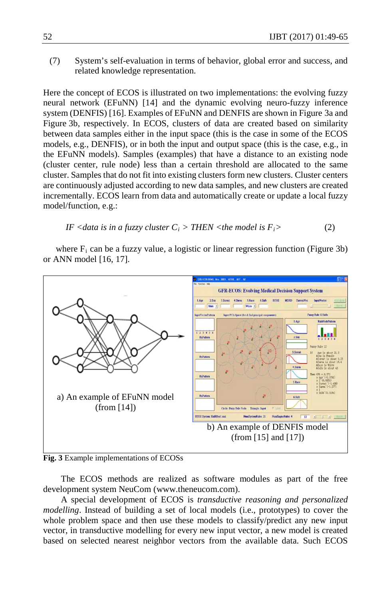(7) System's self-evaluation in terms of behavior, global error and success, and related knowledge representation.

Here the concept of ECOS is illustrated on two implementations: the evolving fuzzy neural network (EFuNN) [14] and the dynamic evolving neuro-fuzzy inference system (DENFIS) [16]. Examples of EFuNN and DENFIS are shown in Figure 3a and Figure 3b, respectively. In ECOS, clusters of data are created based on similarity between data samples either in the input space (this is the case in some of the ECOS models, e.g., DENFIS), or in both the input and output space (this is the case, e.g., in the EFuNN models). Samples (examples) that have a distance to an existing node (cluster center, rule node) less than a certain threshold are allocated to the same cluster. Samples that do not fit into existing clusters form new clusters. Cluster centers are continuously adjusted according to new data samples, and new clusters are created incrementally. ECOS learn from data and automatically create or update a local fuzzy model/function, e.g.:

IF 
$$
\langle \text{data is in a fuzzy cluster } C_i \rangle
$$
 THEN  $\langle \text{the model is } F_i \rangle$  (2)

where  $F_i$  can be a fuzzy value, a logistic or linear regression function (Figure 3b) or ANN model [16, 17].



**Fig. 3** Example implementations of ECOSs

The ECOS methods are realized as software modules as part of the free development system NeuCom (www.theneucom.com).

A special development of ECOS is *transductive reasoning and personalized modelling*. Instead of building a set of local models (i.e., prototypes) to cover the whole problem space and then use these models to classify/predict any new input vector, in transductive modelling for every new input vector, a new model is created based on selected nearest neighbor vectors from the available data. Such ECOS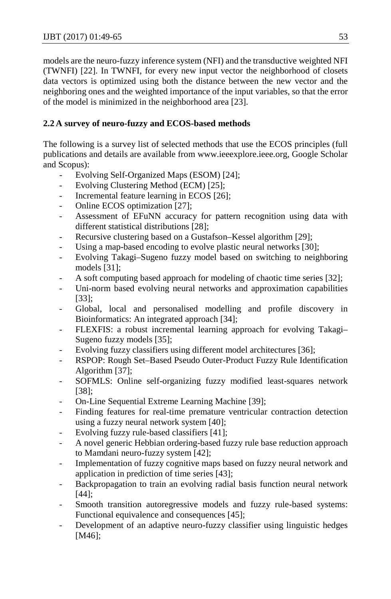models are the neuro-fuzzy inference system (NFI) and the transductive weighted NFI (TWNFI) [22]. In TWNFI, for every new input vector the neighborhood of closets data vectors is optimized using both the distance between the new vector and the neighboring ones and the weighted importance of the input variables, so that the error of the model is minimized in the neighborhood area [23].

# **2.2 A survey of neuro-fuzzy and ECOS-based methods**

The following is a survey list of selected methods that use the ECOS principles (full publications and details are available from www.ieeexplore.ieee.org, Google Scholar and Scopus):

- Evolving Self-Organized Maps (ESOM) [24];
- Evolving Clustering Method (ECM) [25];
- Incremental feature learning in ECOS [26];
- Online ECOS optimization [27];
- Assessment of EFuNN accuracy for pattern recognition using data with different statistical distributions [28];
- [Recursive clustering based on a Gustafson–Kessel algorithm](http://link.springer.com/article/10.1007/s12530-010-9025-7) [29];
- [Using a map-based encoding to evolve plastic neural networks](http://ieeexplore.ieee.org/xpls/abs_all.jsp?arnumber=5945909) [30];
- [Evolving Takagi–Sugeno fuzzy model based on switching to neighboring](http://www.sciencedirect.com/science/article/pii/S1568494612004358)  [models](http://www.sciencedirect.com/science/article/pii/S1568494612004358) [31];
- [A soft computing based approach for modeling of chaotic time series](http://link.springer.com/chapter/10.1007/11893028_56) [32];
- [Uni-norm based evolving neural networks and approximation capabilities](http://www.sciencedirect.com/science/article/pii/S0925231213007753) [33]:
- Global, local and personalised modelling and profile discovery in Bioinformatics: An integrated approach [34];
- [FLEXFIS: a robust incremental learning approach for evolving Takagi–](http://ieeexplore.ieee.org/xpls/abs_all.jsp?arnumber=4529084) [Sugeno fuzzy models](http://ieeexplore.ieee.org/xpls/abs_all.jsp?arnumber=4529084) [35];
- [Evolving fuzzy classifiers using different model architectures](http://www.sciencedirect.com/science/article/pii/S0165011408003333) [36];
- [RSPOP: Rough Set–Based Pseudo Outer-Product Fuzzy Rule Identification](http://www.mitpressjournals.org/doi/abs/10.1162/0899766052530857)  [Algorithm](http://www.mitpressjournals.org/doi/abs/10.1162/0899766052530857) [37];
- [SOFMLS: Online self-organizing fuzzy modified least-squares network](http://ieeexplore.ieee.org/xpls/abs_all.jsp?arnumber=5196829) [38];
- [On-Line Sequential Extreme Learning Machine \[](http://citeseerx.ist.psu.edu/viewdoc/download?doi=10.1.1.101.5176&rep=rep1&type=pdf)39];
- [Finding features for real-time premature ventricular contraction detection](http://ieeexplore.ieee.org/xpls/abs_all.jsp?arnumber=4768621)  [using a fuzzy neural network system](http://ieeexplore.ieee.org/xpls/abs_all.jsp?arnumber=4768621) [40];
- [Evolving fuzzy rule-based classifiers](http://ieeexplore.ieee.org/xpls/abs_all.jsp?arnumber=4221422) [41];
- A novel generic Hebbian ordering-based fuzzy rule base reduction approach [to Mamdani neuro-fuzzy system](http://www.mitpressjournals.org/doi/abs/10.1162/neco.2007.19.6.1656) [42];
- Implementation of fuzzy cognitive maps based on fuzzy neural network and [application in prediction of time series](http://ieeexplore.ieee.org/xpls/abs_all.jsp?arnumber=5352265) [43];
- [Backpropagation to train an evolving radial basis function neural network](http://link.springer.com/article/10.1007/s12530-010-9015-9) [44];
- [Smooth transition autoregressive models and fuzzy rule-based systems:](http://www.sciencedirect.com/science/article/pii/S0165011407001583)  [Functional equivalence and consequences](http://www.sciencedirect.com/science/article/pii/S0165011407001583) [45];
- Development of an adaptive neuro-fuzzy classifier using linguistic hedges [M46];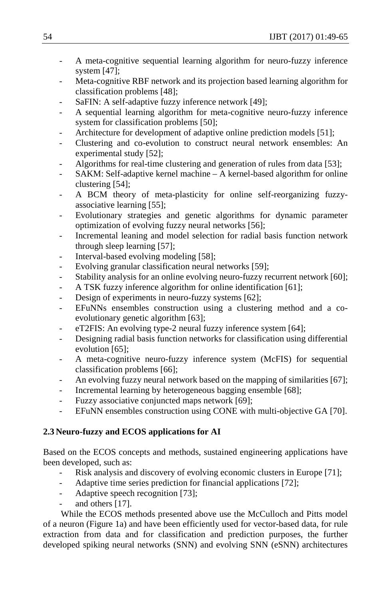- A meta-cognitive sequential learning algorithm for neuro-fuzzy inference [system](http://www.sciencedirect.com/science/article/pii/S1568494612002888) [47];
- Meta-cognitive RBF network and its projection based learning algorithm for [classification problems](http://www.sciencedirect.com/science/article/pii/S1568494612004206) [48];
- [SaFIN: A self-adaptive fuzzy inference network](http://ieeexplore.ieee.org/xpls/abs_all.jsp?arnumber=6051517) [49];
- A sequential learning algorithm for meta-cognitive neuro-fuzzy inference [system for classification problems](http://ieeexplore.ieee.org/xpls/abs_all.jsp?arnumber=6033545) [50];
- [Architecture for development of adaptive online prediction models](http://link.springer.com/article/10.1007/s12293-009-0017-8) [51];
- [Clustering and co-evolution to construct neural network ensembles: An](http://www.sciencedirect.com/science/article/pii/S0893608008000506)  [experimental study](http://www.sciencedirect.com/science/article/pii/S0893608008000506) [52];
- [Algorithms for real-time clustering and generation](http://books.google.com/books?hl=en&lr=&id=YjsOShrBh8AC&oi=fnd&pg=PA353&ots=CWkbEKIPhd&sig=iPE7QOHZrTQenYknJNatcJ_1PEo) of rules from data [53];
- [SAKM: Self-adaptive kernel machine –](http://www.sciencedirect.com/science/article/pii/S0893608008001184) A kernel-based algorithm for online [clustering](http://www.sciencedirect.com/science/article/pii/S0893608008001184) [54];
- [A BCM theory of meta-plasticity for online self-reorganizing fuzzy](http://ieeexplore.ieee.org/xpls/abs_all.jsp?arnumber=5475434)[associative learning](http://ieeexplore.ieee.org/xpls/abs_all.jsp?arnumber=5475434) [55];
- [Evolutionary strategies and genetic algorithms for dynamic parameter](http://ieeexplore.ieee.org/xpls/abs_all.jsp?arnumber=1554934)  [optimization of evolving fuzzy neural networks](http://ieeexplore.ieee.org/xpls/abs_all.jsp?arnumber=1554934) [56];
- [Incremental leaning and model selection for radial basis function network](http://search.ieice.org/bin/summary.php?id=e90-d_4_722) [through sleep](http://search.ieice.org/bin/summary.php?id=e90-d_4_722) learning [57];
- [Interval-based evolving modeling](http://ieeexplore.ieee.org/xpls/abs_all.jsp?arnumber=4938992) [58];
- [Evolving granular classification neural networks](http://ieeexplore.ieee.org/xpls/abs_all.jsp?arnumber=5178895) [59];
- [Stability analysis for an online evolving neuro-fuzzy recurrent network](http://books.google.com/books?hl=en&lr=&id=mhYTIq7vouoC&oi=fnd&pg=PA173&ots=S1rY-16a8K&sig=6dix4kYsrIwe6yBsHKoc0AS0AwU) [60];
- [A TSK fuzzy inference algorithm for online identification](http://link.springer.com/chapter/10.1007/11539506_23) [61];
- [Design of experiments in neuro-fuzzy systems](http://www.worldscientific.com/doi/abs/10.1142/S1469026810002823) [62];
- [EFuNNs ensembles construction using a clustering method and a co](http://ieeexplore.ieee.org/xpls/abs_all.jsp?arnumber=1688472)[evolutionary genetic algorithm](http://ieeexplore.ieee.org/xpls/abs_all.jsp?arnumber=1688472) [63];
- [eT2FIS: An evolving type-2 neural fuzzy inference system](http://www.sciencedirect.com/science/article/pii/S0020025512001491) [64];
- Designing radial basis function networks for classification using differential [evolution](http://ieeexplore.ieee.org/xpls/abs_all.jsp?arnumber=1716496) [65];
- A meta-cognitive neuro-fuzzy inference system (McFIS) for sequential [classification problems](http://ieeexplore.ieee.org/xpls/abs_all.jsp?arnumber=6420927) [66];
- [An evolving fuzzy neural network based on the mapping of similarities](http://ieeexplore.ieee.org/xpls/abs_all.jsp?arnumber=5238537) [67];
- [Incremental learning by heterogeneous bagging ensemble](http://link.springer.com/chapter/10.1007/978-3-642-17313-4_1) [68];
- [Fuzzy associative conjuncted maps network](http://ieeexplore.ieee.org/xpls/abs_all.jsp?arnumber=5173476) [69];
- [EFuNN ensembles construction using CONE with multi-objective GA](http://ieeexplore.ieee.org/xpls/abs_all.jsp?arnumber=4026809) [70].

# **2.3 Neuro-fuzzy and ECOS applications for AI**

Based on the ECOS concepts and methods, sustained engineering applications have been developed, such as:

- [Risk analysis and discovery of evolving economic clusters in Europe](http://link.springer.com/chapter/10.1007/978-3-7908-1856-7_17) [71];
- Adaptive time series prediction for financial applications [72];
- Adaptive speech recognition [73];
- and others [17].

While the ECOS methods presented above use the McCulloch and Pitts model of a neuron (Figure 1a) and have been efficiently used for vector-based data, for rule extraction from data and for classification and prediction purposes, the further developed spiking neural networks (SNN) and evolving SNN (eSNN) architectures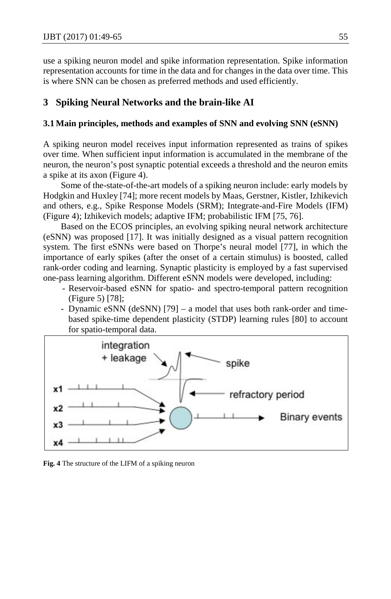use a spiking neuron model and spike information representation. Spike information representation accounts for time in the data and for changes in the data over time. This is where SNN can be chosen as preferred methods and used efficiently.

## **3 Spiking Neural Networks and the brain-like AI**

#### **3.1 Main principles, methods and examples of SNN and evolving SNN (eSNN)**

A spiking neuron model receives input information represented as trains of spikes over time. When sufficient input information is accumulated in the membrane of the neuron, the neuron's post synaptic potential exceeds a threshold and the neuron emits a spike at its axon (Figure 4).

Some of the-state-of-the-art models of a spiking neuron include: early models by Hodgkin and Huxley [74]; more recent models by Maas, Gerstner, Kistler, Izhikevich and others, e.g., Spike Response Models (SRM); Integrate-and-Fire Models (IFM) (Figure 4); Izhikevich models; adaptive IFM; probabilistic IFM [75, 76].

Based on the ECOS principles, an evolving spiking neural network architecture (eSNN) was proposed [17]. It was initially designed as a visual pattern recognition system. The first eSNNs were based on Thorpe's neural model [77], in which the importance of early spikes (after the onset of a certain stimulus) is boosted, called rank-order coding and learning. Synaptic plasticity is employed by a fast supervised one-pass learning algorithm. Different eSNN models were developed, including:

- Reservoir-based eSNN for spatio- and spectro-temporal pattern recognition (Figure 5) [78];
- Dynamic eSNN (deSNN) [79] a model that uses both rank-order and timebased spike-time dependent plasticity (STDP) learning rules [80] to account for spatio-temporal data.



**Fig. 4** The structure of the LIFM of a spiking neuron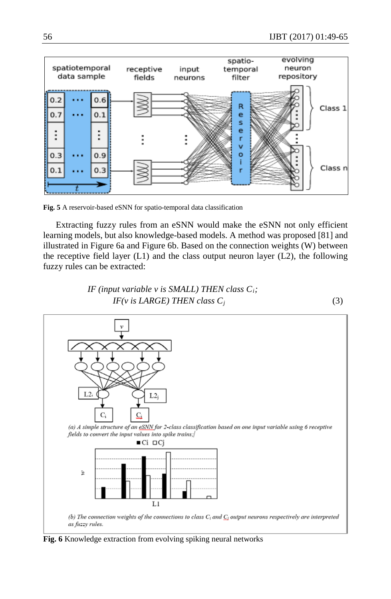

**Fig. 5** A reservoir-based eSNN for spatio-temporal data classification

Extracting fuzzy rules from an eSNN would make the eSNN not only efficient learning models, but also knowledge-based models. A method was proposed [81] and illustrated in Figure 6a and Figure 6b. Based on the connection weights (W) between the receptive field layer  $(L1)$  and the class output neuron layer  $(L2)$ , the following fuzzy rules can be extracted:





**Fig. 6** Knowledge extraction from evolving spiking neural networks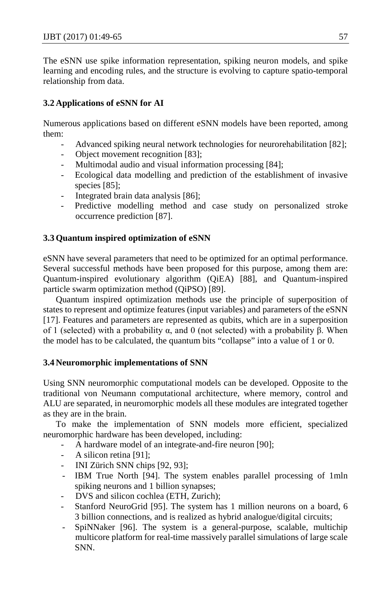The eSNN use spike information representation, spiking neuron models, and spike learning and encoding rules, and the structure is evolving to capture spatio-temporal relationship from data.

## **3.2 Applications of eSNN for AI**

Numerous applications based on different eSNN models have been reported, among them:

- Advanced spiking neural network technologies for neurorehabilitation [82];
- Object movement recognition [83];
- Multimodal audio and visual information processing [84];
- Ecological data modelling and prediction of the establishment of invasive species [85];
- Integrated brain data analysis [86];
- Predictive modelling method and case study on personalized stroke occurrence prediction [87].

## **3.3 Quantum inspired optimization of eSNN**

eSNN have several parameters that need to be optimized for an optimal performance. Several successful methods have been proposed for this purpose, among them are: Quantum-inspired evolutionary algorithm (QiEA) [88], and Quantum-inspired particle swarm optimization method (QiPSO) [89].

Quantum inspired optimization methods use the principle of superposition of states to represent and optimize features (input variables) and parameters of the eSNN [17]. Features and parameters are represented as qubits, which are in a superposition of 1 (selected) with a probability  $\alpha$ , and 0 (not selected) with a probability β. When the model has to be calculated, the quantum bits "collapse" into a value of 1 or 0.

### **3.4 Neuromorphic implementations of SNN**

Using SNN neuromorphic computational models can be developed. Opposite to the traditional von Neumann computational architecture, where memory, control and ALU are separated, in neuromorphic models all these modules are integrated together as they are in the brain.

To make the implementation of SNN models more efficient, specialized neuromorphic hardware has been developed, including:

- A hardware model of an integrate-and-fire neuron [90];
- A silicon retina [91];
- INI Zürich SNN chips [92, 93];
- IBM True North [94]. The system enables parallel processing of 1mln spiking neurons and 1 billion synapses;
- DVS and silicon cochlea (ETH, Zurich);
- Stanford NeuroGrid [95]. The system has 1 million neurons on a board, 6 3 billion connections, and is realized as hybrid analogue/digital circuits;
- SpiNNaker [96]. The system is a general-purpose, scalable, multichip multicore platform for real-time massively parallel simulations of large scale SNN.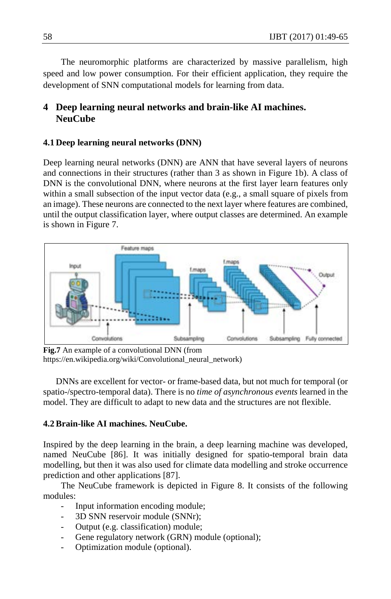The neuromorphic platforms are characterized by massive parallelism, high speed and low power consumption. For their efficient application, they require the development of SNN computational models for learning from data.

# **4 Deep learning neural networks and brain-like AI machines. NeuCube**

#### **4.1 Deep learning neural networks (DNN)**

Deep learning neural networks (DNN) are ANN that have several layers of neurons and connections in their structures (rather than 3 as shown in Figure 1b). A class of DNN is the convolutional DNN, where neurons at the first layer learn features only within a small subsection of the input vector data (e.g., a small square of pixels from an image). These neurons are connected to the next layer where features are combined, until the output classification layer, where output classes are determined. An example is shown in Figure 7.



**Fig.7** An example of a convolutional DNN (from https://en.wikipedia.org/wiki/Convolutional\_neural\_network)

DNNs are excellent for vector- or frame-based data, but not much for temporal (or spatio-/spectro-temporal data). There is no *time of asynchronous events* learned in the model. They are difficult to adapt to new data and the structures are not flexible.

## **4.2Brain-like AI machines. NeuCube.**

Inspired by the deep learning in the brain, a deep learning machine was developed, named NeuCube [86]. It was initially designed for spatio-temporal brain data modelling, but then it was also used for climate data modelling and stroke occurrence prediction and other applications [87].

The NeuCube framework is depicted in Figure 8. It consists of the following modules:

- Input information encoding module;
- 3D SNN reservoir module (SNNr);
- Output (e.g. classification) module;
- Gene regulatory network (GRN) module (optional);
- Optimization module (optional).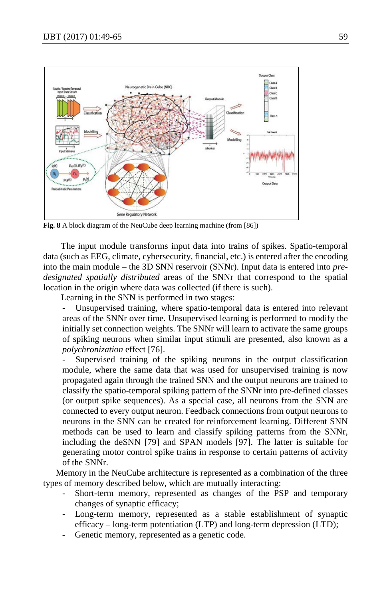

**Fig. 8** A block diagram of the NeuCube deep learning machine (from [86])

The input module transforms input data into trains of spikes. Spatio-temporal data (such as EEG, climate, cybersecurity, financial, etc.) is entered after the encoding into the main module – the 3D SNN reservoir (SNNr). Input data is entered into *predesignated spatially distributed* areas of the SNNr that correspond to the spatial location in the origin where data was collected (if there is such).

Learning in the SNN is performed in two stages:

Unsupervised training, where spatio-temporal data is entered into relevant areas of the SNNr over time. Unsupervised learning is performed to modify the initially set connection weights. The SNNr will learn to activate the same groups of spiking neurons when similar input stimuli are presented, also known as a *polychronization* effect [76].

Supervised training of the spiking neurons in the output classification module, where the same data that was used for unsupervised training is now propagated again through the trained SNN and the output neurons are trained to classify the spatio-temporal spiking pattern of the SNNr into pre-defined classes (or output spike sequences). As a special case, all neurons from the SNN are connected to every output neuron. Feedback connections from output neurons to neurons in the SNN can be created for reinforcement learning. Different SNN methods can be used to learn and classify spiking patterns from the SNNr, including the deSNN [79] and SPAN models [97]. The latter is suitable for generating motor control spike trains in response to certain patterns of activity of the SNNr.

Memory in the NeuCube architecture is represented as a combination of the three types of memory described below, which are mutually interacting:

- Short-term memory, represented as changes of the PSP and temporary changes of synaptic efficacy;
- Long-term memory, represented as a stable establishment of synaptic efficacy – long-term potentiation (LTP) and long-term depression (LTD);
- Genetic memory, represented as a genetic code.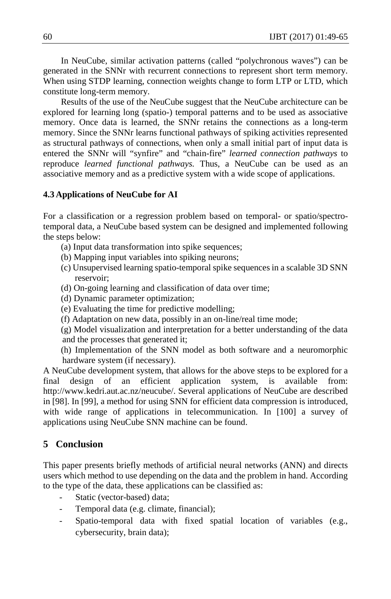In NeuCube, similar activation patterns (called "polychronous waves") can be generated in the SNNr with recurrent connections to represent short term memory. When using STDP learning, connection weights change to form LTP or LTD, which constitute long-term memory.

Results of the use of the NeuCube suggest that the NeuCube architecture can be explored for learning long (spatio-) temporal patterns and to be used as associative memory. Once data is learned, the SNNr retains the connections as a long-term memory. Since the SNNr learns functional pathways of spiking activities represented as structural pathways of connections, when only a small initial part of input data is entered the SNNr will "synfire" and "chain-fire" *learned connection pathways* to reproduce *learned functional pathways.* Thus, a NeuCube can be used as an associative memory and as a predictive system with a wide scope of applications.

#### **4.3 Applications of NeuCube for AI**

For a classification or a regression problem based on temporal- or spatio/spectrotemporal data, a NeuCube based system can be designed and implemented following the steps below:

- (a) Input data transformation into spike sequences;
- (b) Mapping input variables into spiking neurons;
- (c) Unsupervised learning spatio-temporal spike sequences in a scalable 3D SNN reservoir;
- (d) On-going learning and classification of data over time;
- (d) Dynamic parameter optimization;
- (e) Evaluating the time for predictive modelling;
- (f) Adaptation on new data, possibly in an on-line/real time mode;

(g) Model visualization and interpretation for a better understanding of the data and the processes that generated it;

(h) Implementation of the SNN model as both software and a neuromorphic hardware system (if necessary).

A NeuCube development system, that allows for the above steps to be explored for a final design of an efficient application system, is available from: http://www.kedri.aut.ac.nz/neucube/. Several applications of NeuCube are described in [98]. In [99], a method for using SNN for efficient data compression is introduced, with wide range of applications in telecommunication. In [100] a survey of applications using NeuCube SNN machine can be found.

## **5 Conclusion**

This paper presents briefly methods of artificial neural networks (ANN) and directs users which method to use depending on the data and the problem in hand. According to the type of the data, these applications can be classified as:

- Static (vector-based) data;
- Temporal data (e.g. climate, financial);
- Spatio-temporal data with fixed spatial location of variables (e.g., cybersecurity, brain data);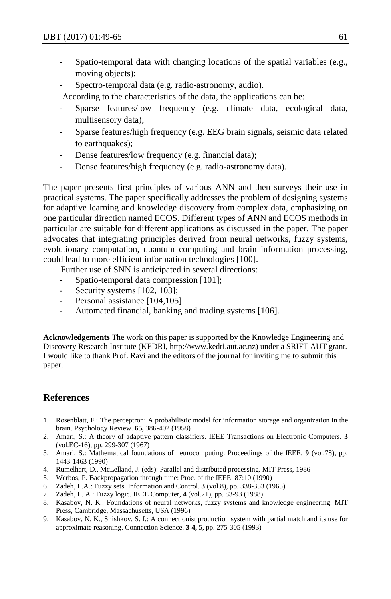- Spatio-temporal data with changing locations of the spatial variables (e.g., moving objects);
- Spectro-temporal data (e.g. radio-astronomy, audio).
- According to the characteristics of the data, the applications can be:
- Sparse features/low frequency (e.g. climate data, ecological data, multisensory data);
- Sparse features/high frequency (e.g. EEG brain signals, seismic data related to earthquakes);
- Dense features/low frequency (e.g. financial data);
- Dense features/high frequency (e.g. radio-astronomy data).

The paper presents first principles of various ANN and then surveys their use in practical systems. The paper specifically addresses the problem of designing systems for adaptive learning and knowledge discovery from complex data, emphasizing on one particular direction named ECOS. Different types of ANN and ECOS methods in particular are suitable for different applications as discussed in the paper. The paper advocates that integrating principles derived from neural networks, fuzzy systems, evolutionary computation, quantum computing and brain information processing, could lead to more efficient information technologies [100].

Further use of SNN is anticipated in several directions:

- Spatio-temporal data compression [101];
- Security systems [102, 103];
- Personal assistance [104,105]
- Automated financial, banking and trading systems [106].

**Acknowledgements** The work on this paper is supported by the Knowledge Engineering and Discovery Research Institute (KEDRI, http://www.kedri.aut.ac.nz) under a SRIFT AUT grant. I would like to thank Prof. Ravi and the editors of the journal for inviting me to submit this paper.

# **References**

- 1. Rosenblatt, F.: The perceptron: A probabilistic model for information storage and organization in the brain. Psychology Review. **65,** 386-402 (1958)
- 2. Amari, S.: A theory of adaptive pattern classifiers. IEEE Transactions on Electronic Computers. **3** (vol.EC-16), pp. 299-307 (1967)
- 3. Amari, S.: Mathematical foundations of neurocomputing. Proceedings of the IEEE. **9** (vol.78), pp. 1443-1463 (1990)
- 4. Rumelhart, D., McLelland, J. (eds): Parallel and distributed processing. MIT Press, 1986
- 5. Werbos, P. Backpropagation through time: Proc. of the IEEE. 87:10 (1990)
- 6. Zadeh, L.A.: Fuzzy sets. Information and Control. **3** (vol.8), pp. 338-353 (1965)
- 7. Zadeh, L. A.: Fuzzy logic. IEEE Computer, **4** (vol.21), pp. 83-93 (1988)
- 8. Kasabov, N. K.: Foundations of neural networks, fuzzy systems and knowledge engineering. MIT Press, Cambridge, Massachusetts, USA (1996)
- 9. Kasabov, N. K., Shishkov, S. I.: A connectionist production system with partial match and its use for approximate reasoning. Connection Science. **3-4,** 5, pp. 275-305 (1993)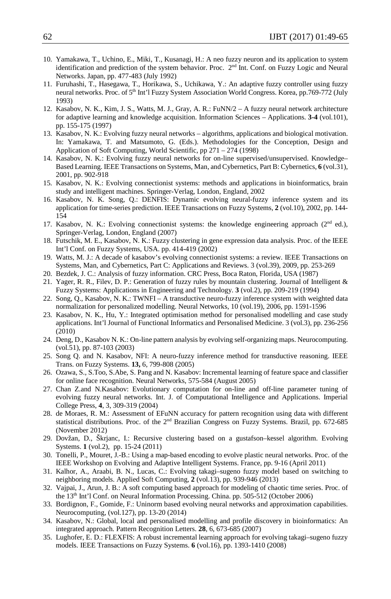- 10. Yamakawa, T., Uchino, E., Miki, T., Kusanagi, H.: A neo fuzzy neuron and its application to system identification and prediction of the system behavior. Proc.  $2<sup>nd</sup>$  Int. Conf. on Fuzzy Logic and Neural Networks. Japan, pp. 477-483 (July 1992)
- 11. Furuhashi, T., Hasegawa, T., Horikawa, S., Uchikawa, Y.: An adaptive fuzzy controller using fuzzy neural networks. Proc. of 5<sup>th</sup> Int'l Fuzzy System Association World Congress. Korea, pp.769-772 (July 1993)
- 12. Kasabov, N. K., Kim, J. S., Watts, M. J., Gray, A. R.: FuNN/2 A fuzzy neural network architecture for adaptive learning and knowledge acquisition. Information Sciences – Applications. **3-4** (vol.101), pp. 155-175 (1997)
- 13. Kasabov, N. K.: Evolving fuzzy neural networks algorithms, applications and biological motivation. In: Yamakawa, T. and Matsumoto, G. (Eds.). Methodologies for the Conception, Design and Application of Soft Computing, World Scientific, pp 271 – 274 (1998)
- 14. Kasabov, N. K.: Evolving fuzzy neural networks for on-line supervised/unsupervised. Knowledge– Based Learning. IEEE Transactions on Systems, Man, and Cybernetics, Part B: Cybernetics, **6** (vol.31), 2001, pp. 902-918
- 15. Kasabov, N. K.: Evolving connectionist systems: methods and applications in bioinformatics, brain study and intelligent machines. Springer-Verlag, London, England, 2002
- 16. Kasabov, N. K. Song, Q.: DENFIS: Dynamic evolving neural-fuzzy inference system and its application for time-series prediction. IEEE Transactions on Fuzzy Systems, **2** (vol.10), 2002, pp. 144- 154
- 17. Kasabov, N. K.: Evolving connectionist systems: the knowledge engineering approach (2nd ed.), Springer-Verlag, London, England (2007)
- 18. Futschik, M. E., Kasabov, N. K.: Fuzzy clustering in gene expression data analysis. Proc. of the IEEE Int'l Conf. on Fuzzy Systems, USA. pp. 414-419 (2002)
- 19. Watts, M. J.: A decade of kasabov's evolving connectionist systems: a review. IEEE Transactions on Systems, Man, and Cybernetics, Part C: Applications and Reviews. 3 (vol.39), 2009, pp. 253-269
- 20. Bezdek, J. C.: Analysis of fuzzy information. CRC Press, Boca Raton, Florida, USA (1987)
- 21. Yager, R. R., Filev, D. P.: Generation of fuzzy rules by mountain clustering. Journal of Intelligent & Fuzzy Systems: Applications in Engineering and Technology. **3** (vol.2), pp. 209-219 (1994)
- 22. Song, Q., Kasabov, N. K.: TWNFI A transductive neuro-fuzzy inference system with weighted data normalization for personalized modelling. Neural Networks, 10 (vol.19), 2006, pp. 1591-1596
- 23. Kasabov, N. K., Hu, Y.: Integrated optimisation method for personalised modelling and case study applications. Int'l Journal of Functional Informatics and Personalised Medicine. 3 (vol.3), pp. 236-256 (2010)
- 24. Deng, D., Kasabov N. K.: On-line pattern analysis by evolving self-organizing maps. Neurocomputing. (vol.51), pp. 87-103 (2003)
- 25. Song Q. and N. Kasabov, NFI: A neuro-fuzzy inference method for transductive reasoning. IEEE Trans. on Fuzzy Systems. **13,** 6, 799-808 (2005)
- 26. Ozawa, S., S.Too, S.Abe, S. Pang and N. Kasabov: Incremental learning of feature space and classifier for online face recognition. Neural Networks, 575-584 (August 2005)
- 27. Chan Z.and N.Kasabov: Evolutionary computation for on-line and off-line parameter tuning of evolving fuzzy neural networks. Int. J. of Computational Intelligence and Applications. Imperial College Press, **4**, 3, 309-319 (2004)
- 28. de Moraes, R. M.: Assessment of EFuNN accuracy for pattern recognition using data with different statistical distributions. Proc. of the 2nd Brazilian Congress on Fuzzy Systems. Brazil, pp. 672-685 (November 2012)
- 29. Dovžan, D., Škrjanc, I.: Recursive clustering based on a gustafson–kessel algorithm. Evolving Systems. **1** (vol.2), pp. 15-24 (2011)
- 30. Tonelli, P., Mouret, J.-B.: Using a map-based encoding to evolve plastic neural networks. Proc. of the IEEE Workshop on Evolving and Adaptive Intelligent Systems. France, pp. 9-16 (April 2011)
- 31. Kalhor, A., Araabi, B. N., Lucas, C.: Evolving takagi–sugeno fuzzy model based on switching to neighboring models. Applied Soft Computing, **2** (vol.13), pp. 939-946 (2013)
- 32. Vajpai, J., Arun, J. B.: A soft computing based approach for modeling of chaotic time series. Proc. of the 13<sup>th</sup> Int'l Conf. on Neural Information Processing. China. pp. 505-512 (October 2006)
- 33. Bordignon, F., Gomide, F.: Uninorm based evolving neural networks and approximation capabilities. Neurocomputing, (vol.127), pp. 13-20 (2014)
- 34. Kasabov, N.: Global, local and personalised modelling and profile discovery in bioinformatics: An integrated approach. Pattern Recognition Letters. **28**[, 6,](http://www.sciencedirect.com/science?_ob=PublicationURL&_tockey=%23TOC%235665%232007%23999719993%23643136%23FLA%23&_cdi=5665&_pubType=J&view=c&_auth=y&_acct=C000050221&_version=1&_urlVersion=0&_userid=10&md5=4f0b6297b6572f0c391e13b2b0874073) 673-685 (2007)
- 35. Lughofer, E. D.: FLEXFIS: A robust incremental learning approach for evolving takagi–sugeno fuzzy models. IEEE Transactions on Fuzzy Systems. **6** (vol.16), pp. 1393-1410 (2008)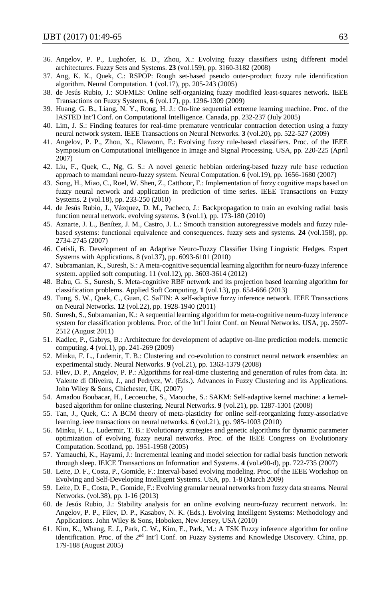- 36. Angelov, P. P., Lughofer, E. D., Zhou, X.: Evolving fuzzy classifiers using different model architectures. Fuzzy Sets and Systems. **23** (vol.159), pp. 3160-3182 (2008)
- 37. Ang, K. K., Quek, C.: RSPOP: Rough set-based pseudo outer-product fuzzy rule identification algorithm. Neural Computation. **1** (vol.17), pp. 205-243 (2005)
- 38. de Jesús Rubio, J.: SOFMLS: Online self-organizing fuzzy modified least-squares network. IEEE Transactions on Fuzzy Systems, **6** (vol.17), pp. 1296-1309 (2009)
- 39. Huang, G. B., Liang, N. Y., Rong, H. J.: On-line sequential extreme learning machine. Proc. of the IASTED Int'l Conf. on Computational Intelligence. Canada, pp. 232-237 (July 2005)
- 40. Lim, J. S.: Finding features for real-time premature ventricular contraction detection using a fuzzy neural network system. IEEE Transactions on Neural Networks. **3** (vol.20), pp. 522-527 (2009)
- 41. Angelov, P. P., Zhou, X., Klawonn, F.: Evolving fuzzy rule-based classifiers. Proc. of the IEEE Symposium on Computational Intelligence in Image and Signal Processing. USA, pp. 220-225 (April 2007)
- 42. Liu, F., Quek, C., Ng, G. S.: A novel generic hebbian ordering-based fuzzy rule base reduction approach to mamdani neuro-fuzzy system. Neural Computation. **6** (vol.19), pp. 1656-1680 (2007)
- 43. Song, H., Miao, C., Roel, W. Shen, Z., Catthoor, F.: Implementation of fuzzy cognitive maps based on fuzzy neural network and application in prediction of time series. IEEE Transactions on Fuzzy Systems. **2** (vol.18), pp. 233-250 (2010)
- 44. de Jesús Rubio, J., Vázquez, D. M., Pacheco, J.: Backpropagation to train an evolving radial basis function neural network. evolving systems. **3** (vol.1), pp. 173-180 (2010)
- 45. Aznarte, J. L., Benítez, J. M., Castro, J. L.: Smooth transition autoregressive models and fuzzy rulebased systems: functional equivalence and consequences. fuzzy sets and systems. **24** (vol.158), pp. 2734-2745 (2007)
- 46. Cetisli, B. Development of an Adaptive Neuro-Fuzzy Classifier Using Linguistic Hedges. Expert Systems with Applications. 8 (vol.37), pp. 6093-6101 (2010)
- 47. Subramanian, K., Suresh, S.: A meta-cognitive sequential learning algorithm for neuro-fuzzy inference system. applied soft computing. 11 (vol.12), pp. 3603-3614 (2012)
- 48. Babu, G. S., Suresh, S. Meta-cognitive RBF network and its projection based learning algorithm for classification problems. Applied Soft Computing. **1** (vol.13), pp. 654-666 (2013)
- 49. Tung, S. W., Quek, C., Guan, C. SaFIN: A self-adaptive fuzzy inference network. IEEE Transactions on Neural Networks. **12** (vol.22), pp. 1928-1940 (2011)
- 50. Suresh, S., Subramanian, K.: A sequential learning algorithm for meta-cognitive neuro-fuzzy inference system for classification problems. Proc. of the Int'l Joint Conf. on Neural Networks. USA, pp. 2507- 2512 (August 2011)
- 51. Kadlec, P., Gabrys, B.: Architecture for development of adaptive on-line prediction models. memetic computing. **4** (vol.1), pp. 241-269 (2009)
- 52. Minku, F. L., Ludemir, T. B.: Clustering and co-evolution to construct neural network ensembles: an experimental study. Neural Networks. **9** (vol.21), pp. 1363-1379 (2008)
- 53. Filev, D. P., Angelov, P. P.: Algorithms for real-time clustering and generation of rules from data. In: Valente di Oliveira, J., and Pedrycz, W. (Eds.). Advances in Fuzzy Clustering and its Applications. John Wiley & Sons, Chichester, UK, (2007)
- 54. Amadou Boubacar, H., Lecoeuche, S., Maouche, S.: SAKM: Self-adaptive kernel machine: a kernelbased algorithm for online clustering. Neural Networks. **9** (vol.21), pp. 1287-1301 (2008)
- 55. Tan, J., Quek, C.: A BCM theory of meta-plasticity for online self-reorganizing fuzzy-associative learning. ieee transactions on neural networks. **6** (vol.21), pp. 985-1003 (2010)
- 56. Minku, F. L., Ludermir, T. B.: Evolutionary strategies and genetic algorithms for dynamic parameter optimization of evolving fuzzy neural networks. Proc. of the IEEE Congress on Evolutionary Computation. Scotland, pp. 1951-1958 (2005)
- 57. Yamauchi, K., Hayami, J.: Incremental leaning and model selection for radial basis function network through sleep. IEICE Transactions on Information and Systems. **4** (vol.e90-d), pp. 722-735 (2007)
- 58. Leite, D. F., Costa, P., Gomide, F.: Interval-based evolving modeling. Proc. of the IEEE Workshop on Evolving and Self-Developing Intelligent Systems. USA, pp. 1-8 (March 2009)
- 59. Leite, D. F., Costa, P., Gomide, F.: Evolving granular neural networks from fuzzy data streams. Neural Networks. (vol.38), pp. 1-16 (2013)
- 60. de Jesús Rubio, J.: Stability analysis for an online evolving neuro-fuzzy recurrent network. In: Angelov, P. P., Filev, D. P., Kasabov, N. K. (Eds.). Evolving Intelligent Systems: Methodology and Applications. John Wiley & Sons, Hoboken, New Jersey, USA (2010)
- 61. Kim, K., Whang, E. J., Park, C. W., Kim, E., Park, M.: A TSK Fuzzy inference algorithm for online identification. Proc. of the 2<sup>nd</sup> Int'l Conf. on Fuzzy Systems and Knowledge Discovery. China, pp. 179-188 (August 2005)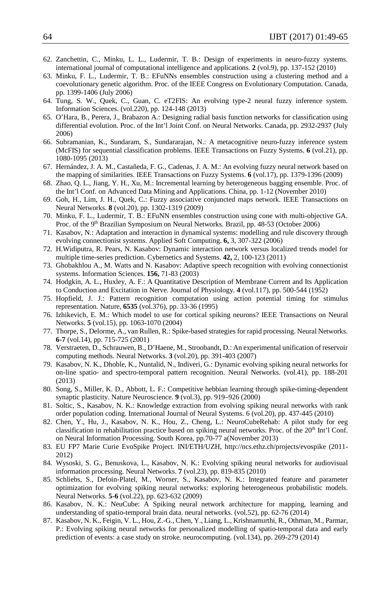- 62. Zanchettin, C., Minku, L. L., Ludermir, T. B.: Design of experiments in neuro-fuzzy systems. international journal of computational intelligence and applications. **2** (vol.9), pp. 137-152 (2010)
- 63. Minku, F. L., Ludermir, T. B.: EFuNNs ensembles construction using a clustering method and a coevolutionary genetic algorithm. Proc. of the IEEE Congress on Evolutionary Computation. Canada, pp. 1399-1406 (July 2006)
- 64. Tung, S. W., Quek, C., Guan, C. eT2FIS: An evolving type-2 neural fuzzy inference system. Information Sciences. (vol.220), pp. 124-148 (2013)
- 65. O'Hara, B., Perera, J., Brabazon A.: Designing radial basis function networks for classification using differential evolution. Proc. of the Int'l Joint Conf. on Neural Networks. Canada, pp. 2932-2937 (July 2006)
- 66. Subramanian, K., Sundaram, S., Sundararajan, N.: A metacognitive neuro-fuzzy inference system (McFIS) for sequential classification problems. IEEE Transactions on Fuzzy Systems. **6** (vol.21), pp. 1080-1095 (2013)
- 67. Hernández, J. A. M., Castañeda, F. G., Cadenas, J. A. M.: An evolving fuzzy neural network based on the mapping of similarities. IEEE Transactions on Fuzzy Systems. **6** (vol.17), pp. 1379-1396 (2009)
- 68. Zhao, Q. L., Jiang, Y. H., Xu, M.: Incremental learning by heterogeneous bagging ensemble. Proc. of the Int'l Conf. on Advanced Data Mining and Applications. China, pp. 1-12 (November 2010)
- 69. Goh, H., Lim, J. H., Quek, C.: Fuzzy associative conjuncted maps network. IEEE Transactions on Neural Networks. **8** (vol.20), pp. 1302-1319 (2009)
- 70. Minku, F. L., Ludermir, T. B.: EFuNN ensembles construction using cone with multi-objective GA. Proc. of the 9<sup>th</sup> Brazilian Symposium on Neural Networks. Brazil, pp. 48-53 (October 2006)
- 71. Kasabov, N.: Adaptation and interaction in dynamical systems: modelling and rule discovery through evolving connectionist systems. Applied Soft Computing. **6,** 3, 307-322 (2006)
- 72. H.Widiputra, R. Pears, N. Kasabov: Dynamic interaction network versus localized trends model for multiple time-series prediction. Cybernetics and Systems. **42,** 2, 100-123 (2011)
- 73. Ghobakhlou A., M. Watts and N. Kasabov: Adaptive speech recognition with evolving connectionist systems. Information Sciences. **156,** 71-83 (2003)
- 74. Hodgkin, A. L., Huxley, A. F.: A Quantitative Description of Membrane Current and Its Application to Conduction and Excitation in Nerve. Journal of Physiology. **4** (vol.117), pp. 500-544 (1952)
- 75. Hopfield, J. J.: Pattern recognition computation using action potential timing for stimulus representation. Nature, **6535** (vol.376), pp. 33-36 (1995)
- 76. Izhikevich, E. M.: Which model to use for cortical spiking neurons? IEEE Transactions on Neural Networks. **5** (vol.15), pp. 1063-1070 (2004)
- 77. Thorpe, S., Delorme, A., van Rullen, R.: Spike-based strategies for rapid processing. Neural Networks. **6-7** (vol.14), pp. 715-725 (2001)
- 78. Verstraeten, D., Schrauwen, B., D'Haene, M., Stroobandt, D.: An experimental unification of reservoir computing methods. Neural Networks. **3** (vol.20), pp. 391-403 (2007)
- 79. Kasabov, N. K., Dhoble, K., Nuntalid, N., Indiveri, G.: Dynamic evolving spiking neural networks for on-line spatio- and spectro-temporal pattern recognition. Neural Networks. (vol.41), pp. 188-201 (2013)
- 80. Song, S., Miller, K. D., Abbott, L. F.: Competitive hebbian learning through spike-timing-dependent synaptic plasticity. Nature Neuroscience. **9** (vol.3), pp. 919–926 (2000)
- 81. Soltic, S., Kasabov, N. K.: Knowledge extraction from evolving spiking neural networks with rank order population coding. International Journal of Neural Systems. 6 (vol.20), pp. 437-445 (2010)
- 82. Chen, Y., Hu, J., Kasabov, N. K., Hou, Z., Cheng, L.: NeuroCubeRehab: A pilot study for eeg classification in rehabilitation practice based on spiking neural networks. Proc. of the 20<sup>th</sup> Int'l Conf. on Neural Information Processing. South Korea, pp.70-77 a(November 2013)
- 83. EU FP7 Marie Curie EvoSpike Project. INI/ETH/UZH,<http://ncs.ethz.ch/projects/evospike> (2011- 2012)
- 84. Wysoski, S. G., Benuskova, L., Kasabov, N. K.: Evolving spiking neural networks for audiovisual information processing. Neural Networks. **7** (vol.23), pp. 819-835 (2010)
- 85. Schliebs, S., Defoin-Platel, M., Worner, S., Kasabov, N. K.: Integrated feature and parameter optimization for evolving spiking neural networks: exploring heterogeneous probabilistic models. Neural Networks. **5-6** (vol.22), pp. 623-632 (2009)
- 86. Kasabov, N. K.: NeuCube: A Spiking neural network architecture for mapping, learning and understanding of spatio-temporal brain data. neural networks. (vol.52), pp. 62-76 (2014)
- 87. Kasabov, N. K., Feigin, V. L., Hou, Z.-G., Chen, Y., Liang, L., Krishnamurthi, R., Othman, M., Parmar, P.: Evolving spiking neural networks for personalized modelling of spatio-temporal data and early prediction of events: a case study on stroke. neurocomputing. (vol.134), pp. 269-279 (2014)